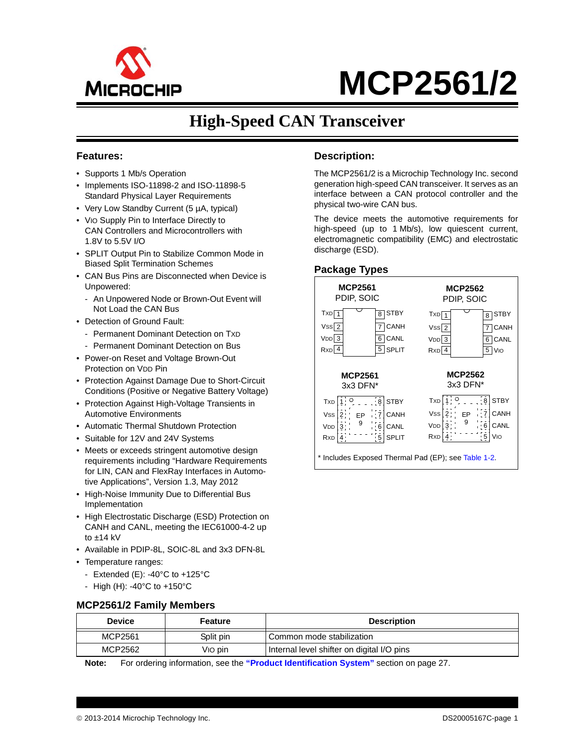

# **MCP2561/2**

### **High-Speed CAN Transceiver**

#### **Features:**

- Supports 1 Mb/s Operation
- Implements ISO-11898-2 and ISO-11898-5 Standard Physical Layer Requirements
- Very Low Standby Current (5 µA, typical)
- VIO Supply Pin to Interface Directly to CAN Controllers and Microcontrollers with 1.8V to 5.5V I/O
- SPLIT Output Pin to Stabilize Common Mode in Biased Split Termination Schemes
- CAN Bus Pins are Disconnected when Device is Unpowered:
- An Unpowered Node or Brown-Out Event will Not Load the CAN Bus
- Detection of Ground Fault:
	- Permanent Dominant Detection on TXD
- Permanent Dominant Detection on Bus
- Power-on Reset and Voltage Brown-Out Protection on VDD Pin
- Protection Against Damage Due to Short-Circuit Conditions (Positive or Negative Battery Voltage)
- Protection Against High-Voltage Transients in Automotive Environments
- Automatic Thermal Shutdown Protection
- Suitable for 12V and 24V Systems
- Meets or exceeds stringent automotive design requirements including "Hardware Requirements for LIN, CAN and FlexRay Interfaces in Automotive Applications", Version 1.3, May 2012
- High-Noise Immunity Due to Differential Bus Implementation
- High Electrostatic Discharge (ESD) Protection on CANH and CANL, meeting the IEC61000-4-2 up to  $±14$  kV
- Available in PDIP-8L, SOIC-8L and 3x3 DFN-8L
- Temperature ranges:
	- Extended (E): -40 $^{\circ}$ C to +125 $^{\circ}$ C
	- High (H): -40°C to +150°C

#### <span id="page-0-0"></span>**MCP2561/2 Family Members**

| <b>Device</b> | Feature   | <b>Description</b>                         |
|---------------|-----------|--------------------------------------------|
| MCP2561       | Split pin | Common mode stabilization                  |
| MCP2562       | Vio pin   | Internal level shifter on digital I/O pins |

**Note:** For ordering information, see the **["Product Identification System"](#page-26-0)** section on page 27.

#### **Description:**

The MCP2561/2 is a Microchip Technology Inc. second generation high-speed CAN transceiver. It serves as an interface between a CAN protocol controller and the physical two-wire CAN bus.

The device meets the automotive requirements for high-speed (up to 1 Mb/s), low quiescent current, electromagnetic compatibility (EMC) and electrostatic discharge (ESD).

#### **Package Types**



Includes Exposed Thermal Pad (EP); see [Table 1-2](#page-3-0).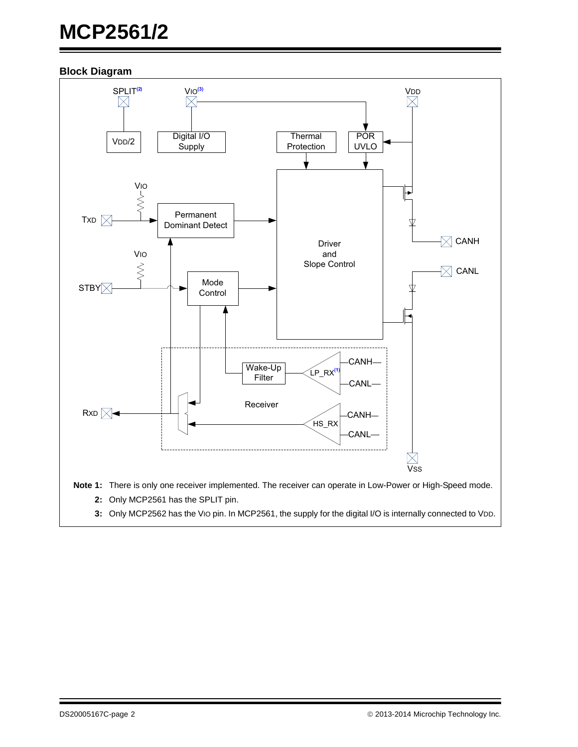# **MCP2561/2**

#### **Block Diagram**



- **2:** Only MCP2561 has the SPLIT pin.
- **3:** Only MCP2562 has the VIO pin. In MCP2561, the supply for the digital I/O is internally connected to VDD.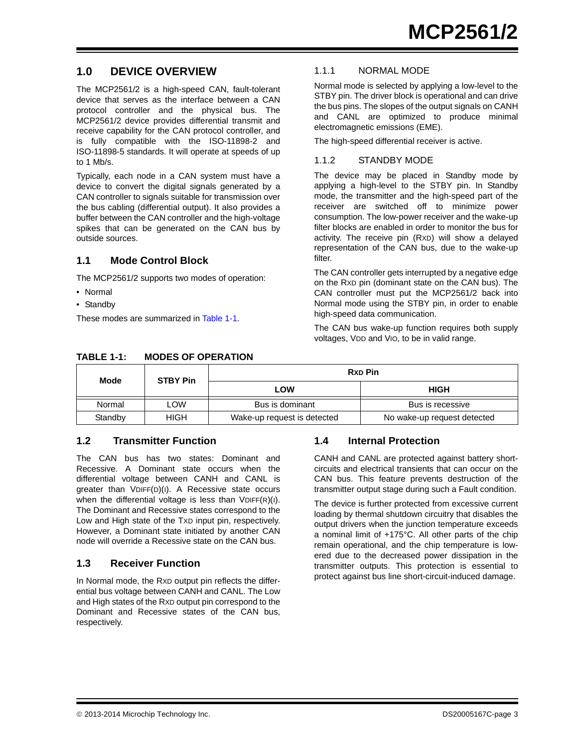#### **1.0 DEVICE OVERVIEW**

The MCP2561/2 is a high-speed CAN, fault-tolerant device that serves as the interface between a CAN protocol controller and the physical bus. The MCP2561/2 device provides differential transmit and receive capability for the CAN protocol controller, and is fully compatible with the ISO-11898-2 and ISO-11898-5 standards. It will operate at speeds of up to 1 Mb/s.

Typically, each node in a CAN system must have a device to convert the digital signals generated by a CAN controller to signals suitable for transmission over the bus cabling (differential output). It also provides a buffer between the CAN controller and the high-voltage spikes that can be generated on the CAN bus by outside sources.

#### **1.1 Mode Control Block**

The MCP2561/2 supports two modes of operation:

- Normal
- Standby

These modes are summarized in [Table](#page-2-0) 1-1.

#### 1.1.1 NORMAL MODE

Normal mode is selected by applying a low-level to the STBY pin. The driver block is operational and can drive the bus pins. The slopes of the output signals on CANH and CANL are optimized to produce minimal electromagnetic emissions (EME).

The high-speed differential receiver is active.

#### <span id="page-2-1"></span>1.1.2 STANDBY MODE

The device may be placed in Standby mode by applying a high-level to the STBY pin. In Standby mode, the transmitter and the high-speed part of the receiver are switched off to minimize power consumption. The low-power receiver and the wake-up filter blocks are enabled in order to monitor the bus for activity. The receive pin (RXD) will show a delayed representation of the CAN bus, due to the wake-up filter.

The CAN controller gets interrupted by a negative edge on the RXD pin (dominant state on the CAN bus). The CAN controller must put the MCP2561/2 back into Normal mode using the STBY pin, in order to enable high-speed data communication.

The CAN bus wake-up function requires both supply voltages, VDD and VIO, to be in valid range.

| Mode    | <b>STBY Pin</b> | <b>Rxp Pin</b>              |                             |  |  |  |  |
|---------|-----------------|-----------------------------|-----------------------------|--|--|--|--|
|         |                 | LOW                         | <b>HIGH</b>                 |  |  |  |  |
| Normal  | ∟OW             | Bus is dominant             | Bus is recessive            |  |  |  |  |
| Standby | HIGH            | Wake-up request is detected | No wake-up request detected |  |  |  |  |

#### **1.2 Transmitter Function**

The CAN bus has two states: Dominant and Recessive. A Dominant state occurs when the differential voltage between CANH and CANL is greater than VDIFF(D)(I). A Recessive state occurs when the differential voltage is less than  $VDFF(R)(I)$ . The Dominant and Recessive states correspond to the Low and High state of the TXD input pin, respectively. However, a Dominant state initiated by another CAN node will override a Recessive state on the CAN bus.

#### **1.3 Receiver Function**

In Normal mode, the RXD output pin reflects the differential bus voltage between CANH and CANL. The Low and High states of the RXD output pin correspond to the Dominant and Recessive states of the CAN bus, respectively.

#### **1.4 Internal Protection**

CANH and CANL are protected against battery shortcircuits and electrical transients that can occur on the CAN bus. This feature prevents destruction of the transmitter output stage during such a Fault condition.

The device is further protected from excessive current loading by thermal shutdown circuitry that disables the output drivers when the junction temperature exceeds a nominal limit of +175°C. All other parts of the chip remain operational, and the chip temperature is lowered due to the decreased power dissipation in the transmitter outputs. This protection is essential to protect against bus line short-circuit-induced damage.

#### <span id="page-2-0"></span>**TABLE 1-1: MODES OF OPERATION**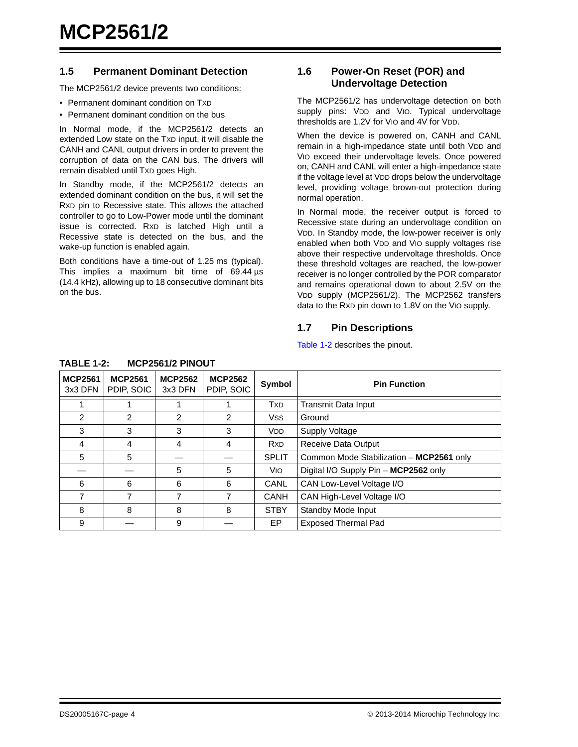#### **1.5 Permanent Dominant Detection**

The MCP2561/2 device prevents two conditions:

- Permanent dominant condition on TXD
- Permanent dominant condition on the bus

In Normal mode, if the MCP2561/2 detects an extended Low state on the TXD input, it will disable the CANH and CANL output drivers in order to prevent the corruption of data on the CAN bus. The drivers will remain disabled until TXD goes High.

In Standby mode, if the MCP2561/2 detects an extended dominant condition on the bus, it will set the RXD pin to Recessive state. This allows the attached controller to go to Low-Power mode until the dominant issue is corrected. RXD is latched High until a Recessive state is detected on the bus, and the wake-up function is enabled again.

Both conditions have a time-out of 1.25 ms (typical). This implies a maximum bit time of 69.44 us (14.4 kHz), allowing up to 18 consecutive dominant bits on the bus.

#### <span id="page-3-1"></span>**1.6 Power-On Reset (POR) and Undervoltage Detection**

The MCP2561/2 has undervoltage detection on both supply pins: VDD and VIO. Typical undervoltage thresholds are 1.2V for VIO and 4V for VDD.

When the device is powered on, CANH and CANL remain in a high-impedance state until both VDD and VIO exceed their undervoltage levels. Once powered on, CANH and CANL will enter a high-impedance state if the voltage level at VDD drops below the undervoltage level, providing voltage brown-out protection during normal operation.

In Normal mode, the receiver output is forced to Recessive state during an undervoltage condition on VDD. In Standby mode, the low-power receiver is only enabled when both VDD and VIO supply voltages rise above their respective undervoltage thresholds. Once these threshold voltages are reached, the low-power receiver is no longer controlled by the POR comparator and remains operational down to about 2.5V on the VDD supply (MCP2561/2). The MCP2562 transfers data to the RXD pin down to 1.8V on the VIO supply.

#### **1.7 Pin Descriptions**

[Table](#page-3-0) 1-2 describes the pinout.

| <b>MCP2561</b><br>3x3 DFN | <b>MCP2561</b><br>PDIP, SOIC | <b>MCP2562</b><br>3x3 DFN | <b>MCP2562</b><br>PDIP, SOIC | Symbol                             | <b>Pin Function</b>                      |
|---------------------------|------------------------------|---------------------------|------------------------------|------------------------------------|------------------------------------------|
|                           |                              |                           |                              | <b>T</b> <sub>X</sub> D            | <b>Transmit Data Input</b>               |
| $\mathcal{P}$             | 2                            | 2                         | 2                            | <b>Vss</b>                         | Ground                                   |
| 3                         | 3                            | 3                         | 3                            | <b>VDD</b>                         | Supply Voltage                           |
| 4                         | 4                            | 4                         | 4                            | <b>R</b> <sub>X</sub> <sub>D</sub> | Receive Data Output                      |
| 5                         | 5                            |                           |                              | <b>SPLIT</b>                       | Common Mode Stabilization - MCP2561 only |
|                           |                              | 5                         | 5                            | <b>VIO</b>                         | Digital I/O Supply Pin - MCP2562 only    |
| 6                         | 6                            | 6                         | 6                            | CANL                               | CAN Low-Level Voltage I/O                |
| 7                         |                              | 7                         | 7                            | CANH                               | CAN High-Level Voltage I/O               |
| 8                         | 8                            | 8                         | 8                            | <b>STBY</b>                        | Standby Mode Input                       |
| 9                         |                              | 9                         |                              | EP                                 | <b>Exposed Thermal Pad</b>               |

#### <span id="page-3-0"></span>**TABLE 1-2: MCP2561/2 PINOUT**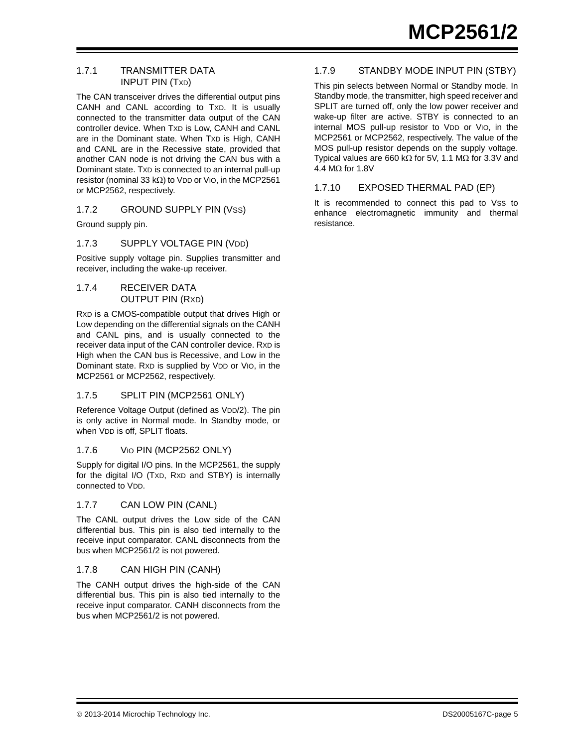#### 1.7.1 TRANSMITTER DATA INPUT PIN (TXD)

The CAN transceiver drives the differential output pins CANH and CANL according to TXD. It is usually connected to the transmitter data output of the CAN controller device. When TXD is Low, CANH and CANL are in the Dominant state. When TXD is High, CANH and CANL are in the Recessive state, provided that another CAN node is not driving the CAN bus with a Dominant state. TXD is connected to an internal pull-up resistor (nominal 33 k $\Omega$ ) to VDD or VIO, in the MCP2561 or MCP2562, respectively.

#### 1.7.2 GROUND SUPPLY PIN (VSS)

Ground supply pin.

#### 1.7.3 SUPPLY VOLTAGE PIN (VDD)

Positive supply voltage pin. Supplies transmitter and receiver, including the wake-up receiver.

#### 1.7.4 RECEIVER DATA OUTPUT PIN (RXD)

RXD is a CMOS-compatible output that drives High or Low depending on the differential signals on the CANH and CANL pins, and is usually connected to the receiver data input of the CAN controller device. RXD is High when the CAN bus is Recessive, and Low in the Dominant state. R<sub>XD</sub> is supplied by V<sub>DD</sub> or V<sub>IO</sub>, in the MCP2561 or MCP2562, respectively.

#### 1.7.5 SPLIT PIN (MCP2561 ONLY)

Reference Voltage Output (defined as VDD/2). The pin is only active in Normal mode. In Standby mode, or when VDD is off, SPLIT floats.

#### 1.7.6 VIO PIN (MCP2562 ONLY)

Supply for digital I/O pins. In the MCP2561, the supply for the digital I/O (TXD, RXD and STBY) is internally connected to VDD.

#### 1.7.7 CAN LOW PIN (CANL)

The CANL output drives the Low side of the CAN differential bus. This pin is also tied internally to the receive input comparator. CANL disconnects from the bus when MCP2561/2 is not powered.

#### 1.7.8 CAN HIGH PIN (CANH)

The CANH output drives the high-side of the CAN differential bus. This pin is also tied internally to the receive input comparator. CANH disconnects from the bus when MCP2561/2 is not powered.

#### 1.7.9 STANDBY MODE INPUT PIN (STBY)

This pin selects between Normal or Standby mode. In Standby mode, the transmitter, high speed receiver and SPLIT are turned off, only the low power receiver and wake-up filter are active. STBY is connected to an internal MOS pull-up resistor to VDD or VIO, in the MCP2561 or MCP2562, respectively. The value of the MOS pull-up resistor depends on the supply voltage. Typical values are 660 k $\Omega$  for 5V, 1.1 M $\Omega$  for 3.3V and 4.4  $M\Omega$  for 1.8V

#### 1.7.10 EXPOSED THERMAL PAD (EP)

It is recommended to connect this pad to Vss to enhance electromagnetic immunity and thermal resistance.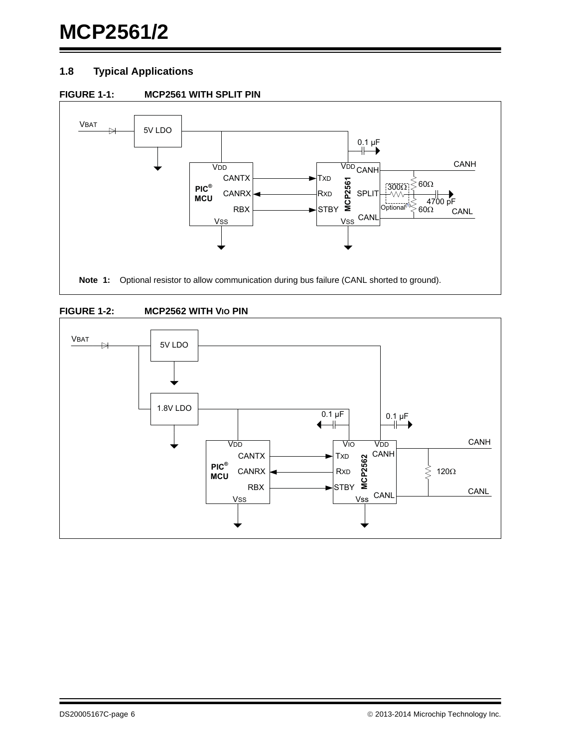### **MCP2561/2**

#### **1.8 Typical Applications**







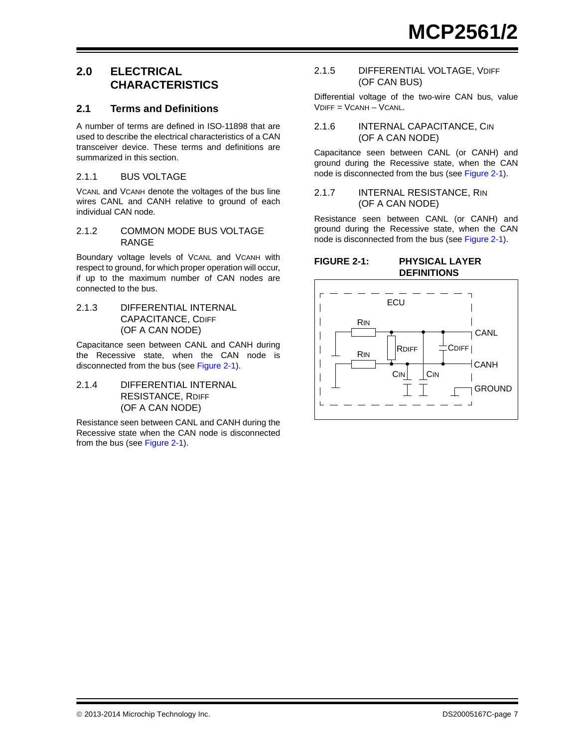#### **2.0 ELECTRICAL CHARACTERISTICS**

#### **2.1 Terms and Definitions**

A number of terms are defined in ISO-11898 that are used to describe the electrical characteristics of a CAN transceiver device. These terms and definitions are summarized in this section.

#### 2.1.1 BUS VOLTAGE

VCANL and VCANH denote the voltages of the bus line wires CANL and CANH relative to ground of each individual CAN node.

#### 2.1.2 COMMON MODE BUS VOLTAGE RANGE

Boundary voltage levels of VCANL and VCANH with respect to ground, for which proper operation will occur, if up to the maximum number of CAN nodes are connected to the bus.

2.1.3 DIFFERENTIAL INTERNAL CAPACITANCE, CDIFF (OF A CAN NODE)

Capacitance seen between CANL and CANH during the Recessive state, when the CAN node is disconnected from the bus (see [Figure](#page-6-0) 2-1).

2.1.4 DIFFERENTIAL INTERNAL RESISTANCE, RDIFF (OF A CAN NODE)

Resistance seen between CANL and CANH during the Recessive state when the CAN node is disconnected from the bus (see [Figure](#page-6-0) 2-1).

#### 2.1.5 DIFFERENTIAL VOLTAGE, VDIFF (OF CAN BUS)

Differential voltage of the two-wire CAN bus, value VDIFF = VCANH – VCANL.

#### 2.1.6 INTERNAL CAPACITANCE, CIN (OF A CAN NODE)

Capacitance seen between CANL (or CANH) and ground during the Recessive state, when the CAN node is disconnected from the bus (see [Figure](#page-6-0) 2-1).

#### 2.1.7 INTERNAL RESISTANCE, RIN (OF A CAN NODE)

Resistance seen between CANL (or CANH) and ground during the Recessive state, when the CAN node is disconnected from the bus (see [Figure](#page-6-0) 2-1).

#### <span id="page-6-0"></span>**FIGURE 2-1: PHYSICAL LAYER DEFINITIONS**

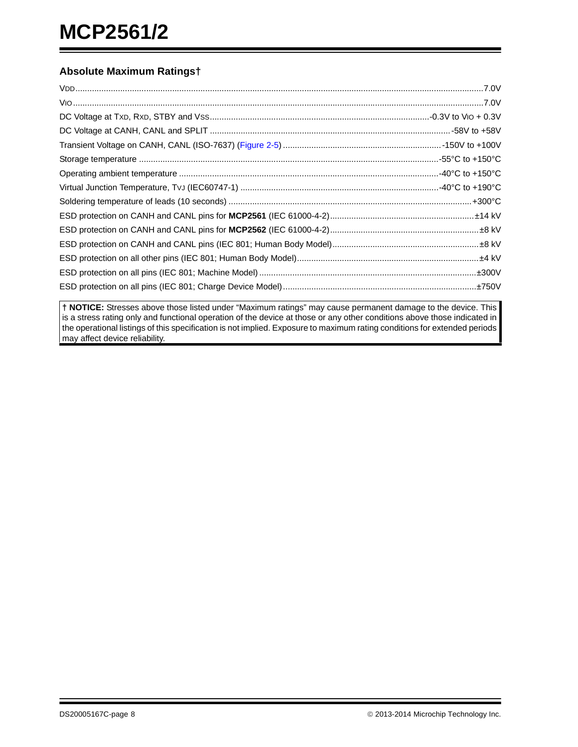#### **Absolute Maximum Ratings†**

**† NOTICE:** Stresses above those listed under "Maximum ratings" may cause permanent damage to the device. This is a stress rating only and functional operation of the device at those or any other conditions above those indicated in the operational listings of this specification is not implied. Exposure to maximum rating conditions for extended periods may affect device reliability.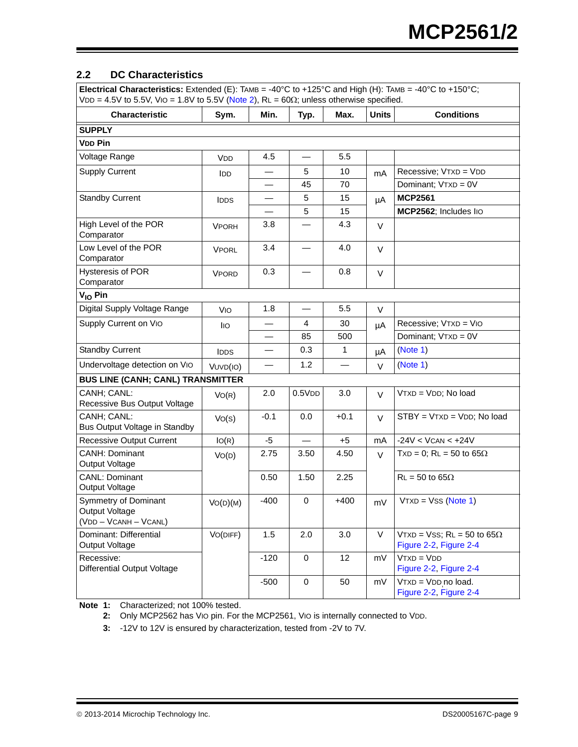#### <span id="page-8-3"></span>**2.2 DC Characteristics**

| Electrical Characteristics: Extended (E): TAMB = -40°C to +125°C and High (H): TAMB = -40°C to +150°C;<br>VDD = 4.5V to 5.5V, VIO = 1.8V to 5.5V (Note 2), $RL = 60\Omega$ ; unless otherwise specified. |              |                          |             |                 |              |                                                                |  |  |
|----------------------------------------------------------------------------------------------------------------------------------------------------------------------------------------------------------|--------------|--------------------------|-------------|-----------------|--------------|----------------------------------------------------------------|--|--|
| <b>Characteristic</b>                                                                                                                                                                                    | Sym.         | Min.                     | Typ.        | Max.            | <b>Units</b> | <b>Conditions</b>                                              |  |  |
| <b>SUPPLY</b>                                                                                                                                                                                            |              |                          |             |                 |              |                                                                |  |  |
| <b>VDD Pin</b>                                                                                                                                                                                           |              |                          |             |                 |              |                                                                |  |  |
| Voltage Range                                                                                                                                                                                            | <b>VDD</b>   | 4.5                      |             | 5.5             |              |                                                                |  |  |
| <b>Supply Current</b>                                                                                                                                                                                    | <b>IDD</b>   |                          | 5           | 10 <sup>1</sup> | mA           | Recessive; VTXD = VDD                                          |  |  |
|                                                                                                                                                                                                          |              |                          | 45          | 70              |              | Dominant; VTXD = 0V                                            |  |  |
| <b>Standby Current</b>                                                                                                                                                                                   | <b>IDDS</b>  |                          | 5           | 15              | μA           | <b>MCP2561</b>                                                 |  |  |
|                                                                                                                                                                                                          |              |                          | 5           | 15              |              | MCP2562; Includes lio                                          |  |  |
| High Level of the POR<br>Comparator                                                                                                                                                                      | <b>VPORH</b> | 3.8                      |             | 4.3             | V            |                                                                |  |  |
| Low Level of the POR<br>Comparator                                                                                                                                                                       | <b>VPORL</b> | 3.4                      |             | 4.0             | $\vee$       |                                                                |  |  |
| <b>Hysteresis of POR</b><br>Comparator                                                                                                                                                                   | <b>VPORD</b> | 0.3                      |             | 0.8             | $\vee$       |                                                                |  |  |
| $V_{IO}$ Pin                                                                                                                                                                                             |              |                          |             |                 |              |                                                                |  |  |
| Digital Supply Voltage Range                                                                                                                                                                             | VIO          | 1.8                      |             | 5.5             | $\vee$       |                                                                |  |  |
| Supply Current on Vio                                                                                                                                                                                    | lio          |                          | 4           | 30              | μA           | Recessive; VTXD = VIO                                          |  |  |
|                                                                                                                                                                                                          |              |                          | 85          | 500             |              | Dominant; VTXD = 0V                                            |  |  |
| <b>Standby Current</b>                                                                                                                                                                                   | <b>IDDS</b>  | $\overline{\phantom{0}}$ | 0.3         | $\mathbf{1}$    | μA           | (Note 1)                                                       |  |  |
| Undervoltage detection on Vio                                                                                                                                                                            | VUVD(IO)     |                          | 1.2         |                 | $\vee$       | (Note 1)                                                       |  |  |
| <b>BUS LINE (CANH; CANL) TRANSMITTER</b>                                                                                                                                                                 |              |                          |             |                 |              |                                                                |  |  |
| CANH; CANL:<br>Recessive Bus Output Voltage                                                                                                                                                              | VO(R)        | 2.0                      | 0.5VDD      | 3.0             | $\vee$       | VTXD = VDD; No load                                            |  |  |
| CANH; CANL:<br>Bus Output Voltage in Standby                                                                                                                                                             | Vo(s)        | $-0.1$                   | 0.0         | $+0.1$          | $\vee$       | $STBY = VTXD = VDD$ ; No load                                  |  |  |
| <b>Recessive Output Current</b>                                                                                                                                                                          | IO(R)        | -5                       |             | $+5$            | mA           | $-24V < Vcan < +24V$                                           |  |  |
| CANH: Dominant<br>Output Voltage                                                                                                                                                                         | VO(D)        | 2.75                     | 3.50        | 4.50            | $\vee$       | $TxD = 0$ ; RL = 50 to 65 $\Omega$                             |  |  |
| <b>CANL: Dominant</b><br>Output Voltage                                                                                                                                                                  |              | 0.50                     | 1.50        | 2.25            |              | $RL = 50$ to 65 $\Omega$                                       |  |  |
| Symmetry of Dominant<br>Output Voltage<br>(VDD - VCANH - VCANL)                                                                                                                                          | VO(D)(M)     | $-400$                   | $\mathbf 0$ | $+400$          | mV           | $VTXD = VSS (Note 1)$                                          |  |  |
| Dominant: Differential<br>Output Voltage                                                                                                                                                                 | VO(DIFF)     | 1.5                      | 2.0         | 3.0             | $\vee$       | VTXD = VSS; $RL = 50$ to 65 $\Omega$<br>Figure 2-2, Figure 2-4 |  |  |
| Recessive:<br><b>Differential Output Voltage</b>                                                                                                                                                         |              | $-120$                   | $\mathbf 0$ | 12              | mV           | $VTXD = VDD$<br>Figure 2-2, Figure 2-4                         |  |  |
|                                                                                                                                                                                                          |              | $-500$                   | $\mathbf 0$ | 50              | mV           | VTXD = VDD no load.<br>Figure 2-2, Figure 2-4                  |  |  |

<span id="page-8-2"></span><span id="page-8-1"></span><span id="page-8-0"></span>**Note 1:** Characterized; not 100% tested.

**2:** Only MCP2562 has VIO pin. For the MCP2561, VIO is internally connected to VDD.

**3:** -12V to 12V is ensured by characterization, tested from -2V to 7V.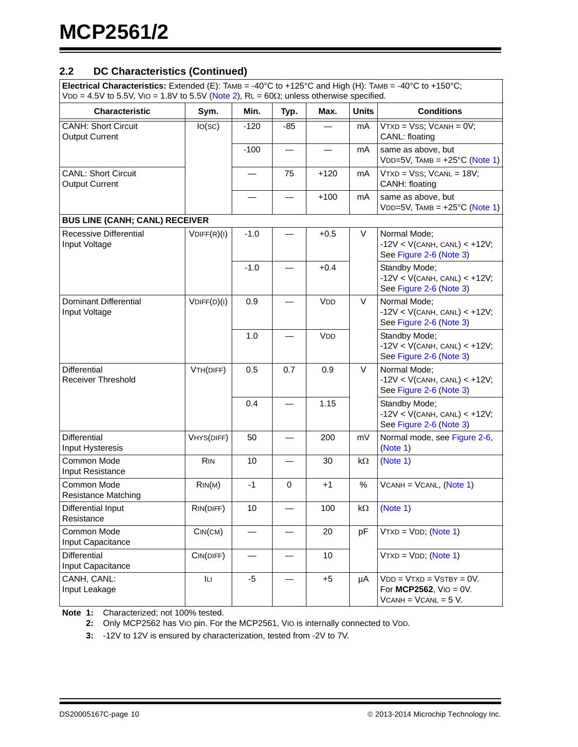#### **2.2 DC Characteristics (Continued)**

| Electrical Characteristics: Extended (E): TAMB = -40°C to +125°C and High (H): TAMB = -40°C to +150°C; |  |
|--------------------------------------------------------------------------------------------------------|--|
| $ VDD = 4.5V$ to 5.5V, Vio = 1.8V to 5.5V (Note 2), RL = 60 $\Omega$ ; unless otherwise specified.     |  |

| <b>Characteristic</b>                               | Sym.              | Min.   | Typ.        | Max.                  | <b>Units</b> | <b>Conditions</b>                                                                |
|-----------------------------------------------------|-------------------|--------|-------------|-----------------------|--------------|----------------------------------------------------------------------------------|
| <b>CANH: Short Circuit</b><br><b>Output Current</b> | lo(sc)            | $-120$ | $-85$       |                       | mA           | $VTXD = VSS$ ; $VCANH = 0V$ ;<br>CANL: floating                                  |
|                                                     |                   | $-100$ |             |                       | mA           | same as above, but<br>$VDD=5V$ , TAMB = $+25^{\circ}C$ (Note 1)                  |
| <b>CANL: Short Circuit</b><br><b>Output Current</b> |                   |        | 75          | $+120$                | mA           | $VTXD = VSS$ ; $VCANL = 18V$ ;<br>CANH: floating                                 |
|                                                     |                   |        |             | $+100$                | mA           | same as above, but<br>$VDD=5V$ , TAMB = $+25^{\circ}C$ (Note 1)                  |
| <b>BUS LINE (CANH; CANL) RECEIVER</b>               |                   |        |             |                       |              |                                                                                  |
| Recessive Differential<br>Input Voltage             | $V$ DIFF $(R)(I)$ | $-1.0$ |             | $+0.5$                | V            | Normal Mode;<br>$-12V < V(CANH, CANL) < +12V;$<br>See Figure 2-6 (Note 3)        |
|                                                     |                   | $-1.0$ |             | $+0.4$                |              | Standby Mode;<br>$-12V < V(CANH, CANL) < +12V;$<br>See Figure 2-6 (Note 3)       |
| Dominant Differential<br>Input Voltage              | $V$ DIFF $(D)(I)$ | 0.9    |             | <b>V<sub>DD</sub></b> | V            | Normal Mode:<br>$-12V < V(CANH, CANL) < +12V;$<br>See Figure 2-6 (Note 3)        |
|                                                     |                   | 1.0    |             | <b>V<sub>DD</sub></b> |              | Standby Mode;<br>$-12V < V(CANH, CANL) < +12V;$<br>See Figure 2-6 (Note 3)       |
| <b>Differential</b><br><b>Receiver Threshold</b>    | VTH(DIFF)         | 0.5    | 0.7         | 0.9                   | V            | Normal Mode:<br>$-12V < V(CANH, CANL) < +12V;$<br>See Figure 2-6 (Note 3)        |
|                                                     |                   | 0.4    |             | 1.15                  |              | Standby Mode;<br>$-12V < V(CANH, CANL) < +12V;$<br>See Figure 2-6 (Note 3)       |
| Differential<br>Input Hysteresis                    | VHYS(DIFF)        | 50     |             | 200                   | mV           | Normal mode, see Figure 2-6,<br>(Note 1)                                         |
| Common Mode<br>Input Resistance                     | <b>RIN</b>        | 10     |             | 30                    | kΩ           | (Note 1)                                                                         |
| Common Mode<br><b>Resistance Matching</b>           | RIN(M)            | $-1$   | $\mathbf 0$ | $+1$                  | %            | $VCANH = VCANL$ , (Note 1)                                                       |
| Differential Input<br>Resistance                    | RIN(DIFF)         | 10     |             | 100                   | kΩ           | (Note 1)                                                                         |
| Common Mode<br>Input Capacitance                    | CIN(CM)           |        |             | 20                    | pF           | $VTXD = VDD$ ; (Note 1)                                                          |
| Differential<br>Input Capacitance                   | CIN(DIFF)         |        |             | 10                    |              | $VTXD = VDD$ ; (Note 1)                                                          |
| CANH, CANL:<br>Input Leakage                        | Ш                 | $-5$   |             | $+5$                  | μA           | $VDD = VTXD = VSTBY = 0V.$<br>For MCP2562, $VIO = OV.$<br>$VCANH = VCANL = 5 V.$ |

**Note 1:** Characterized; not 100% tested.

**2:** Only MCP2562 has VIO pin. For the MCP2561, VIO is internally connected to VDD.

**3:** -12V to 12V is ensured by characterization, tested from -2V to 7V.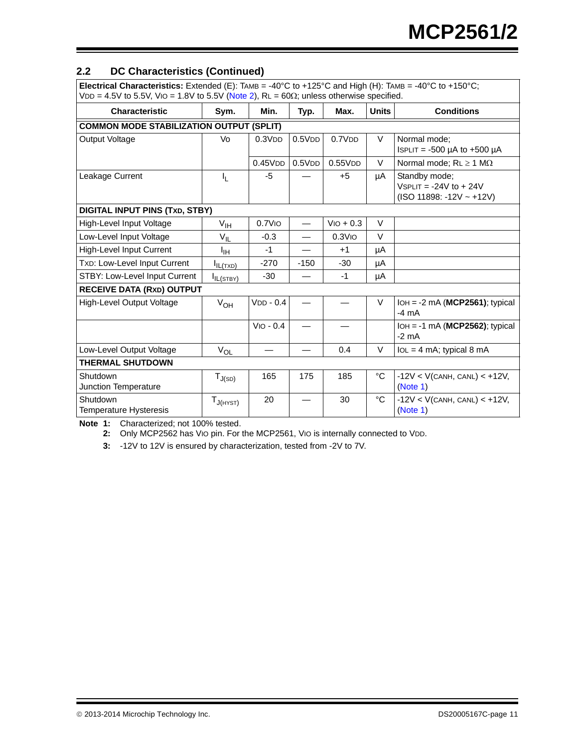#### **2.2 DC Characteristics (Continued)**

| Electrical Characteristics: Extended (E): TAMB = -40°C to +125°C and High (H): TAMB = -40°C to +150°C;<br>$VDD = 4.5V$ to 5.5V, VIO = 1.8V to 5.5V (Note 2), RL = 60 $\Omega$ ; unless otherwise specified. |                 |                       |        |                       |              |                                                                           |  |  |  |  |
|-------------------------------------------------------------------------------------------------------------------------------------------------------------------------------------------------------------|-----------------|-----------------------|--------|-----------------------|--------------|---------------------------------------------------------------------------|--|--|--|--|
| <b>Characteristic</b>                                                                                                                                                                                       | Sym.            | Min.                  | Typ.   | Max.                  | <b>Units</b> | <b>Conditions</b>                                                         |  |  |  |  |
| <b>COMMON MODE STABILIZATION OUTPUT (SPLIT)</b>                                                                                                                                                             |                 |                       |        |                       |              |                                                                           |  |  |  |  |
| <b>Output Voltage</b>                                                                                                                                                                                       | Vo              | 0.3V <sub>DD</sub>    | 0.5VDD | 0.7V <sub>DD</sub>    | V            | Normal mode:<br>ISPLIT = $-500 \mu A$ to $+500 \mu A$                     |  |  |  |  |
|                                                                                                                                                                                                             |                 | 0.45VDD               | 0.5VDD | 0.55VDD               | $\vee$       | Normal mode; $RL \ge 1$ M $\Omega$                                        |  |  |  |  |
| Leakage Current                                                                                                                                                                                             | I <sub>L</sub>  | $-5$                  |        | $+5$                  | μA           | Standby mode;<br>$VSPLIT = -24V$ to $+ 24V$<br>$(ISO 11898: -12V - +12V)$ |  |  |  |  |
| <b>DIGITAL INPUT PINS (TXD, STBY)</b>                                                                                                                                                                       |                 |                       |        |                       |              |                                                                           |  |  |  |  |
| High-Level Input Voltage                                                                                                                                                                                    | $V_{\text{IH}}$ | $0.7$ V <sub>IO</sub> |        | $VIO + 0.3$           | $\vee$       |                                                                           |  |  |  |  |
| Low-Level Input Voltage                                                                                                                                                                                     | $V_{IL}$        | $-0.3$                |        | $0.3$ V <sub>IO</sub> | $\vee$       |                                                                           |  |  |  |  |
| High-Level Input Current                                                                                                                                                                                    | $I_{\text{IH}}$ | $-1$                  |        | $+1$                  | μA           |                                                                           |  |  |  |  |
| TXD: Low-Level Input Current                                                                                                                                                                                | $I_{IL(TXD)}$   | $-270$                | $-150$ | $-30$                 | μA           |                                                                           |  |  |  |  |
| STBY: Low-Level Input Current                                                                                                                                                                               | $I_{IL(STBY)}$  | $-30$                 |        | $-1$                  | μA           |                                                                           |  |  |  |  |
| <b>RECEIVE DATA (RXD) OUTPUT</b>                                                                                                                                                                            |                 |                       |        |                       |              |                                                                           |  |  |  |  |
| High-Level Output Voltage                                                                                                                                                                                   | $V_{OH}$        | $VDD - 0.4$           |        |                       | V            | $IOH = -2 mA (MCP2561);$ typical<br>$-4 \text{ mA}$                       |  |  |  |  |
|                                                                                                                                                                                                             |                 | $VIO - 0.4$           |        |                       |              | $IOH = -1 mA (MCP2562)$ ; typical<br>$-2$ mA                              |  |  |  |  |
| Low-Level Output Voltage                                                                                                                                                                                    | $V_{OL}$        |                       |        | 0.4                   | V            | $IoL = 4 mA$ ; typical 8 mA                                               |  |  |  |  |
| <b>THERMAL SHUTDOWN</b>                                                                                                                                                                                     |                 |                       |        |                       |              |                                                                           |  |  |  |  |
| Shutdown<br>Junction Temperature                                                                                                                                                                            | $T_{J(SD)}$     | 165                   | 175    | 185                   | °C           | $-12V < V(CANH, CANL) < +12V,$<br>(Note 1)                                |  |  |  |  |
| Shutdown<br>Temperature Hysteresis                                                                                                                                                                          | $T_{J(HYST)}$   | 20                    |        | 30                    | °C           | $-12V < V(CANH, CANL) < +12V,$<br>(Note 1)                                |  |  |  |  |

**Note 1:** Characterized; not 100% tested.

**2:** Only MCP2562 has VIO pin. For the MCP2561, VIO is internally connected to VDD.

**3:** -12V to 12V is ensured by characterization, tested from -2V to 7V.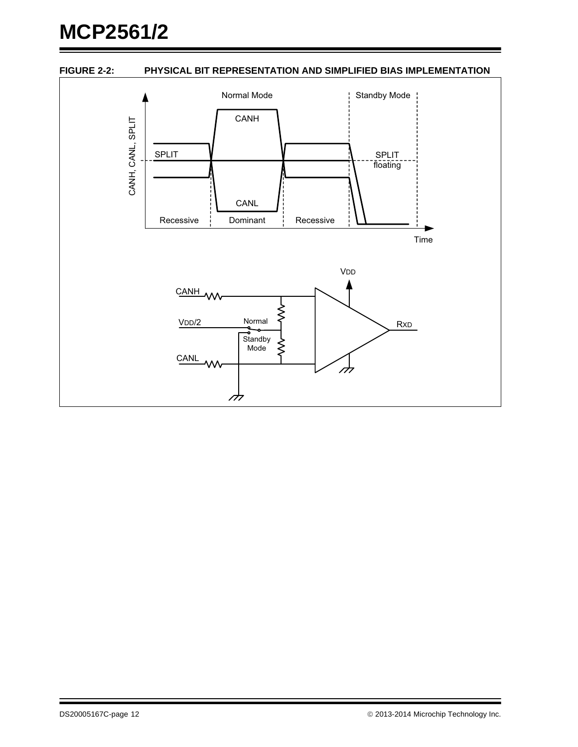# **MCP2561/2**

#### <span id="page-11-0"></span>**FIGURE 2-2: PHYSICAL BIT REPRESENTATION AND SIMPLIFIED BIAS IMPLEMENTATION**

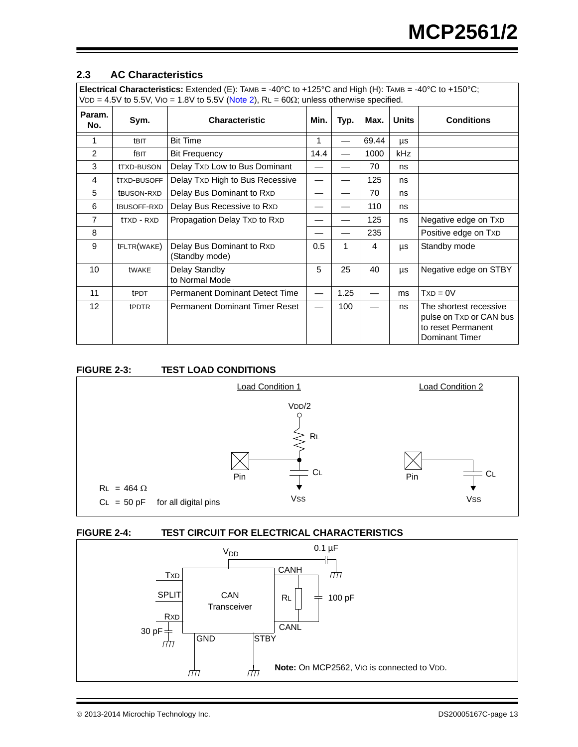#### $2.3$ **2.3 AC Characteristics**

| <b>Electrical Characteristics:</b> Extended (E): TAMB = -40°C to +125°C and High (H): TAMB = -40°C to +150°C; |  |
|---------------------------------------------------------------------------------------------------------------|--|
| $ VDD = 4.5V$ to 5.5V, $VIO = 1.8V$ to 5.5V (Note 2), RL = 60 $\Omega$ ; unless otherwise specified.          |  |

|                 | $ \cdots$ $\cdots$ $\cdots$ $\cdots$ $\cdots$ $\cdots$ $\cdots$ $\cdots$ $\cdots$ $\cdots$ $\cdots$ $\cdots$ $\cdots$ $\cdots$ $\cdots$ $\cdots$ $\cdots$ $\cdots$ |                                             |      |      |       |              |                                                                                           |  |  |
|-----------------|--------------------------------------------------------------------------------------------------------------------------------------------------------------------|---------------------------------------------|------|------|-------|--------------|-------------------------------------------------------------------------------------------|--|--|
| Param.<br>No.   | Sym.                                                                                                                                                               | Min.<br><b>Characteristic</b>               |      | Typ. | Max.  | <b>Units</b> | <b>Conditions</b>                                                                         |  |  |
| 1               | <b>tBIT</b>                                                                                                                                                        | <b>Bit Time</b>                             | 1    |      | 69.44 | μs           |                                                                                           |  |  |
| 2               | fbit                                                                                                                                                               | <b>Bit Frequency</b>                        | 14.4 |      | 1000  | kHz          |                                                                                           |  |  |
| 3               | tTXD-BUSON                                                                                                                                                         | Delay Txp Low to Bus Dominant               |      |      | 70    | ns           |                                                                                           |  |  |
| 4               | tTXD-BUSOFF                                                                                                                                                        | Delay Txp High to Bus Recessive             |      |      | 125   | ns           |                                                                                           |  |  |
| 5               | tBUSON-RXD                                                                                                                                                         | Delay Bus Dominant to R <sub>XD</sub>       |      |      | 70    | ns           |                                                                                           |  |  |
| 6               | tBUSOFF-RXD                                                                                                                                                        | Delay Bus Recessive to RxD                  |      |      | 110   | ns           |                                                                                           |  |  |
| $\overline{7}$  | ttxd - RXD                                                                                                                                                         | Propagation Delay TXD to RXD                |      |      | 125   | ns           | Negative edge on TxD                                                                      |  |  |
| 8               |                                                                                                                                                                    |                                             |      |      | 235   |              | Positive edge on TxD                                                                      |  |  |
| 9               | tFLTR(WAKE)                                                                                                                                                        | Delay Bus Dominant to RxD<br>(Standby mode) | 0.5  | 1    | 4     | μs           | Standby mode                                                                              |  |  |
| 10              | tWAKE                                                                                                                                                              | Delay Standby<br>to Normal Mode             | 5    | 25   | 40    | μs           | Negative edge on STBY                                                                     |  |  |
| 11              | <b>tPDT</b>                                                                                                                                                        | <b>Permanent Dominant Detect Time</b>       |      | 1.25 |       | ms           | $TxD = 0V$                                                                                |  |  |
| 12 <sub>2</sub> | tPDTR                                                                                                                                                              | <b>Permanent Dominant Timer Reset</b>       |      | 100  |       | ns           | The shortest recessive<br>pulse on Txp or CAN bus<br>to reset Permanent<br>Dominant Timer |  |  |

#### **FIGURE 2-3: TEST LOAD CONDITIONS**



#### <span id="page-12-0"></span>**FIGURE 2-4: TEST CIRCUIT FOR ELECTRICAL CHARACTERISTICS**



© 2013-2014 Microchip Technology Inc. **DS20005167C-page 13**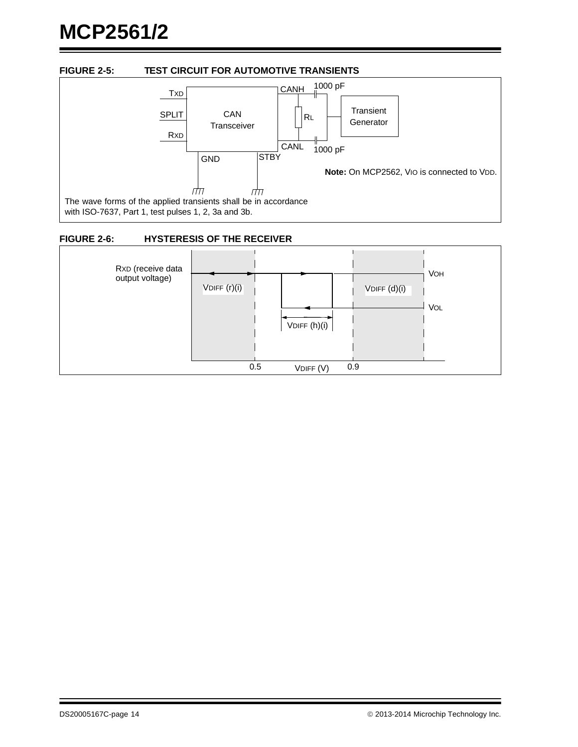# **MCP2561/2**

#### <span id="page-13-0"></span>**FIGURE 2-5: TEST CIRCUIT FOR AUTOMOTIVE TRANSIENTS**



#### <span id="page-13-1"></span>**FIGURE 2-6: HYSTERESIS OF THE RECEIVER**

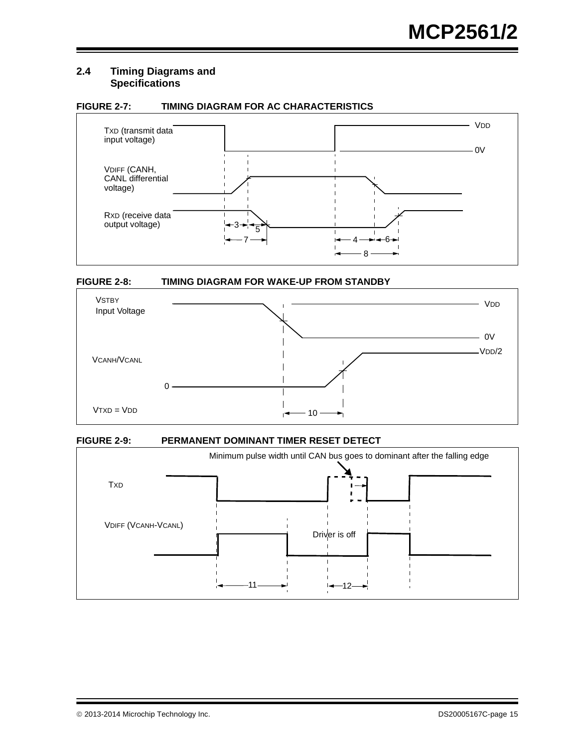#### **2.4 Timing Diagrams and Specifications**

#### **FIGURE 2-7: TIMING DIAGRAM FOR AC CHARACTERISTICS**



#### **FIGURE 2-8: TIMING DIAGRAM FOR WAKE-UP FROM STANDBY**



#### **FIGURE 2-9: PERMANENT DOMINANT TIMER RESET DETECT**

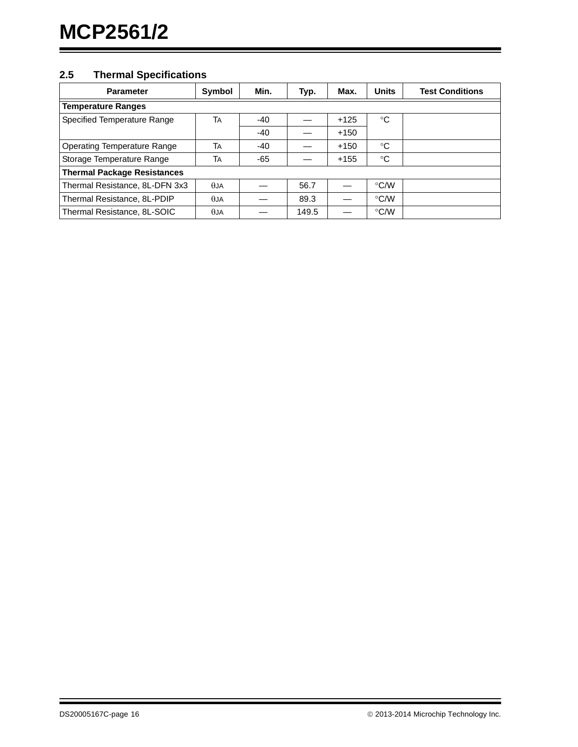#### **2.5 Thermal Specifications**

| <b>Parameter</b>                   | Symbol         | Min.  | Typ.  | Max.   | <b>Units</b>  | <b>Test Conditions</b> |  |  |  |
|------------------------------------|----------------|-------|-------|--------|---------------|------------------------|--|--|--|
| <b>Temperature Ranges</b>          |                |       |       |        |               |                        |  |  |  |
| Specified Temperature Range        | TA             | -40   |       | $+125$ | °C            |                        |  |  |  |
|                                    |                | -40   |       | $+150$ |               |                        |  |  |  |
| Operating Temperature Range        | TA             | $-40$ |       | $+150$ | $^{\circ}C$   |                        |  |  |  |
| Storage Temperature Range          | TA             | $-65$ |       | $+155$ | °C            |                        |  |  |  |
| <b>Thermal Package Resistances</b> |                |       |       |        |               |                        |  |  |  |
| Thermal Resistance, 8L-DFN 3x3     | A <sub>L</sub> |       | 56.7  |        | $\degree$ C/W |                        |  |  |  |
| Thermal Resistance, 8L-PDIP        | A J A          |       | 89.3  |        | $\degree$ C/W |                        |  |  |  |
| Thermal Resistance, 8L-SOIC        | $\theta$ JA    |       | 149.5 |        | $\degree$ C/W |                        |  |  |  |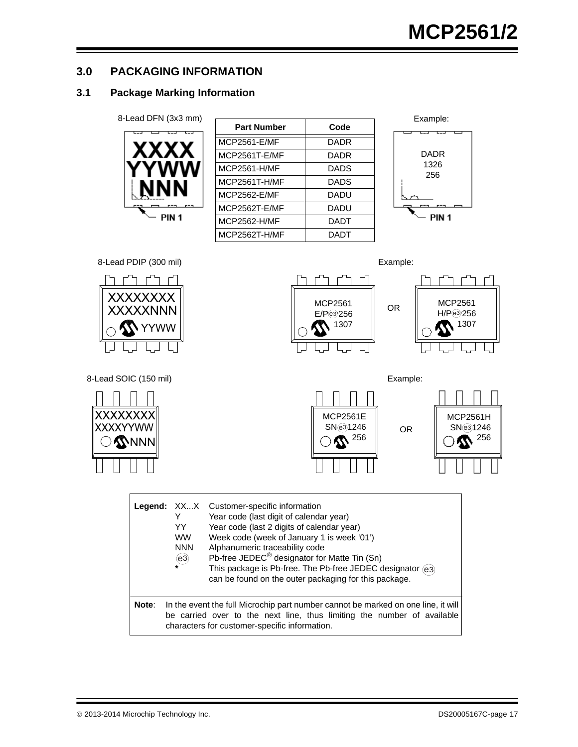#### **3.0 PACKAGING INFORMATION**

#### **3.1 Package Marking Information**

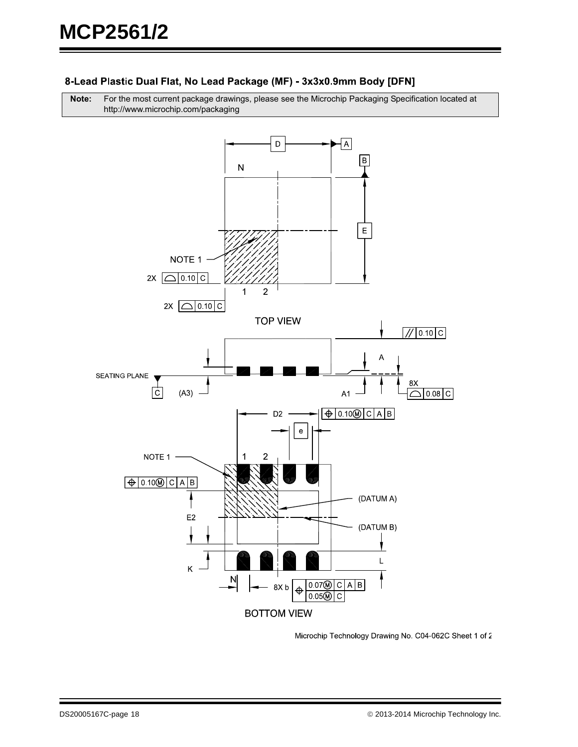#### 8-Lead Plastic Dual Flat, No Lead Package (MF) - 3x3x0.9mm Body [DFN]

**Note:** For the most current package drawings, please see the Microchip Packaging Specification located at http://www.microchip.com/packaging



Microchip Technology Drawing No. C04-062C Sheet 1 of 2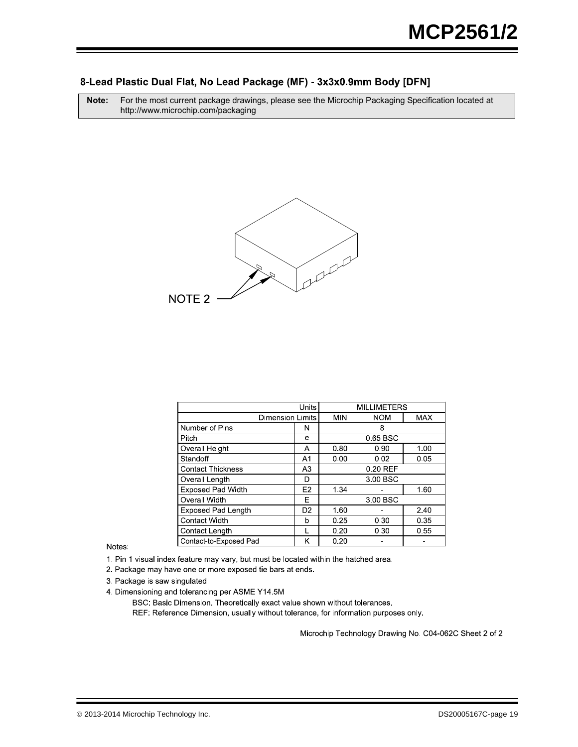#### 8-Lead Plastic Dual Flat, No Lead Package (MF) - 3x3x0.9mm Body [DFN]

**Note:** For the most current package drawings, please see the Microchip Packaging Specification located at http://www.microchip.com/packaging



|                           | Units             | <b>MILLIMETERS</b>   |            |            |  |  |
|---------------------------|-------------------|----------------------|------------|------------|--|--|
| <b>Dimension Limits</b>   |                   | MIN                  | <b>NOM</b> | <b>MAX</b> |  |  |
| Number of Pins            | N                 |                      | 8          |            |  |  |
| Pitch                     | е                 |                      | 0.65 BSC   |            |  |  |
| <b>Overall Height</b>     | A                 | 0.80                 | 0.90       | 1.00       |  |  |
| Standoff                  | A1                | 0.00                 | 0.02       | 0.05       |  |  |
| <b>Contact Thickness</b>  | A3                |                      | 0.20 REF   |            |  |  |
| Overall Length            | D                 | 3.00 BSC             |            |            |  |  |
| <b>Exposed Pad Width</b>  | E <sub>2</sub>    | 1.34<br>1.60         |            |            |  |  |
| Overall Width             | F                 |                      | 3.00 BSC   |            |  |  |
| <b>Exposed Pad Length</b> | D <sub>2</sub>    | 1.60                 |            | 2.40       |  |  |
| <b>Contact Width</b>      | 0.30<br>0.25<br>b |                      |            | 0.35       |  |  |
| Contact Length            |                   | 0.20<br>0.30<br>0.55 |            |            |  |  |
| Contact-to-Exposed Pad    | Κ                 | 0.20                 |            |            |  |  |

Notes:

1. Pin 1 visual index feature may vary, but must be located within the hatched area.

2. Package may have one or more exposed tie bars at ends.

3. Package is saw singulated

4. Dimensioning and tolerancing per ASME Y14.5M

BSC: Basic Dimension. Theoretically exact value shown without tolerances.

REF: Reference Dimension, usually without tolerance, for information purposes only.

Microchip Technology Drawing No. C04-062C Sheet 2 of 2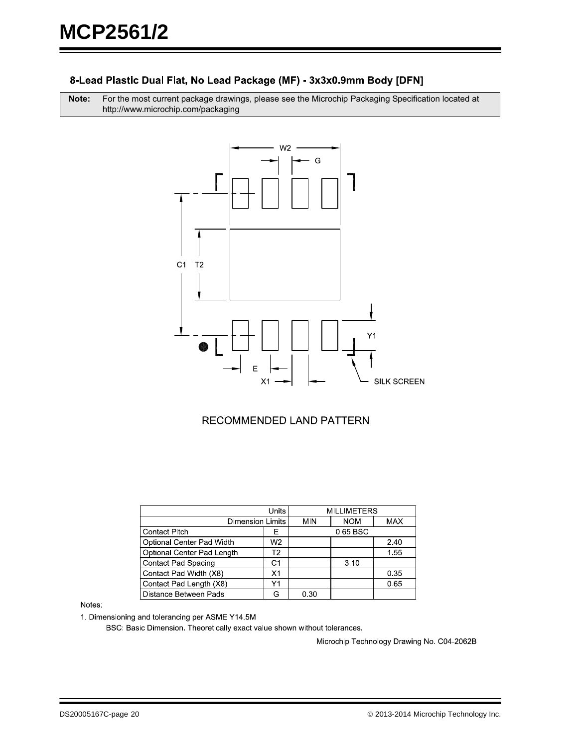#### 8-Lead Plastic Dual Flat, No Lead Package (MF) - 3x3x0.9mm Body [DFN]

**Note:** For the most current package drawings, please see the Microchip Packaging Specification located at http://www.microchip.com/packaging



#### RECOMMENDED LAND PATTERN

|                            | Units          | <b>MILLIMETERS</b> |            |            |
|----------------------------|----------------|--------------------|------------|------------|
| <b>Dimension Limits</b>    |                | MIN                | <b>NOM</b> | <b>MAX</b> |
| <b>Contact Pitch</b>       | Е              |                    |            |            |
| Optional Center Pad Width  | W <sub>2</sub> |                    |            | 2.40       |
| Optional Center Pad Length | Т2             |                    | 1.55       |            |
| <b>Contact Pad Spacing</b> | C <sub>1</sub> |                    | 3.10       |            |
| Contact Pad Width (X8)     | X <sub>1</sub> |                    |            | 0.35       |
| Contact Pad Length (X8)    | Υ1             |                    |            | 0.65       |
| Distance Between Pads      |                | 0.30               |            |            |

Notes:

1. Dimensioning and tolerancing per ASME Y14.5M

BSC: Basic Dimension. Theoretically exact value shown without tolerances.

Microchip Technology Drawing No. C04-2062B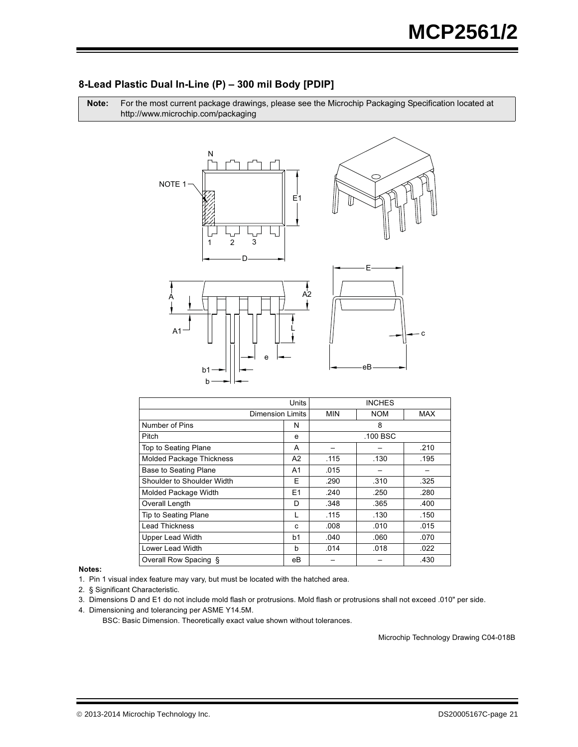#### 8-Lead Plastic Dual In-Line (P) - 300 mil Body [PDIP]

Note: For the most current package drawings, please see the Microchip Packaging Specification located at http://www.microchip.com/packaging



|                                 | Units          | <b>INCHES</b>            |      |            |
|---------------------------------|----------------|--------------------------|------|------------|
| <b>Dimension Limits</b>         |                | <b>NOM</b><br><b>MIN</b> |      | <b>MAX</b> |
| Number of Pins                  | N              | 8                        |      |            |
| Pitch                           | e              | .100 BSC                 |      |            |
| Top to Seating Plane            | A              |                          |      | .210       |
| <b>Molded Package Thickness</b> | A2             | .115                     | .130 | .195       |
| Base to Seating Plane           | A1             | .015                     |      |            |
| Shoulder to Shoulder Width      | Е              | .290                     | .310 | .325       |
| Molded Package Width            | E <sub>1</sub> | .240                     | .250 | .280       |
| Overall Length                  | D              | .348                     | .365 | .400       |
| Tip to Seating Plane            | L              | .115                     | .130 | .150       |
| Lead Thickness                  | C              | .008                     | .010 | .015       |
| <b>Upper Lead Width</b>         | b1             | .040                     | .060 | .070       |
| Lower Lead Width                | b              | .014                     | .018 | .022       |
| Overall Row Spacing §           | eВ             |                          |      | .430       |

Notes:

1. Pin 1 visual index feature may vary, but must be located with the hatched area.

2. § Significant Characteristic.

3. Dimensions D and E1 do not include mold flash or protrusions. Mold flash or protrusions shall not exceed .010" per side.

4. Dimensioning and tolerancing per ASME Y14.5M.

BSC: Basic Dimension. Theoretically exact value shown without tolerances.

Microchip Technology Drawing C04-018B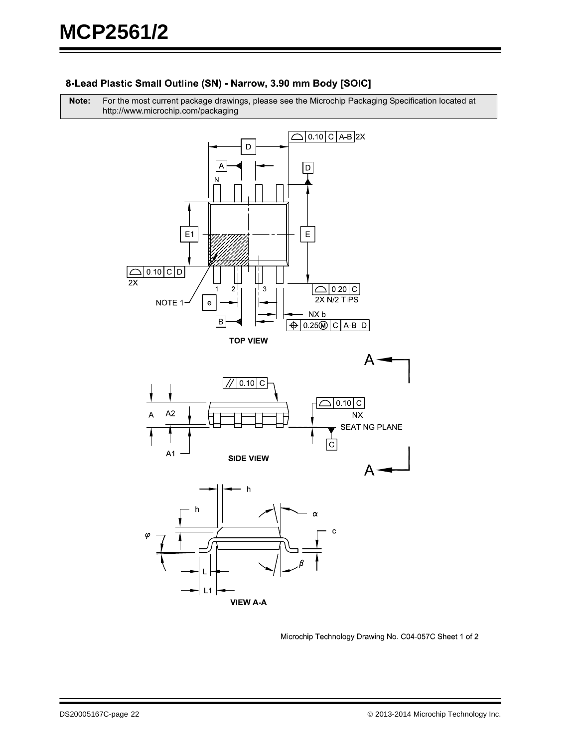#### 8-Lead Plastic Small Outline (SN) - Narrow, 3.90 mm Body [SOIC]

**Note:** For the most current package drawings, please see the Microchip Packaging Specification located at http://www.microchip.com/packaging



Microchip Technology Drawing No. C04-057C Sheet 1 of 2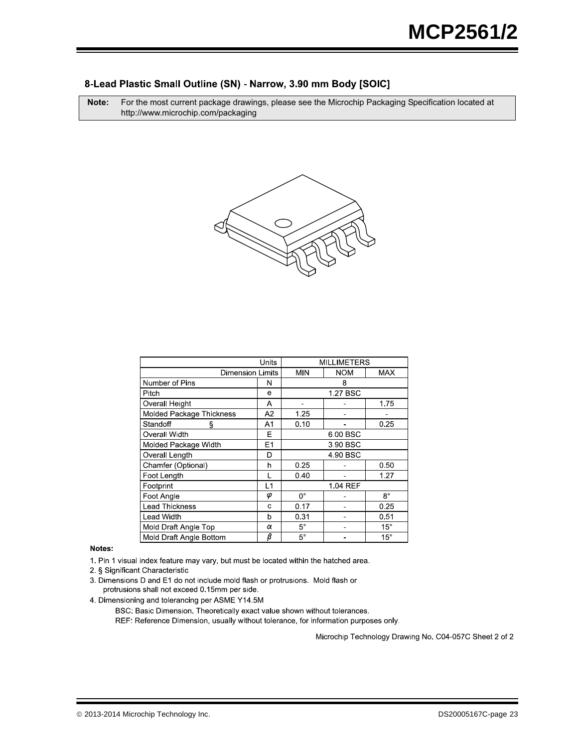#### 8-Lead Plastic Small Outline (SN) - Narrow, 3.90 mm Body [SOIC]

**Note:** For the most current package drawings, please see the Microchip Packaging Specification located at http://www.microchip.com/packaging



|                                 | Units                                               | <b>MILLIMETERS</b> |      |              |
|---------------------------------|-----------------------------------------------------|--------------------|------|--------------|
|                                 | <b>Dimension Limits</b><br><b>NOM</b><br><b>MIN</b> |                    |      | <b>MAX</b>   |
| Number of Pins                  | N                                                   | 8                  |      |              |
| Pitch                           | e                                                   |                    |      |              |
| Overall Height                  | Α                                                   |                    |      | 1.75         |
| <b>Molded Package Thickness</b> | A2                                                  | 1.25               |      |              |
| Standoff<br>ş                   | A1                                                  | 0.10               |      | 0.25         |
| Overall Width                   | E                                                   | 6.00 BSC           |      |              |
| Molded Package Width            | E1                                                  | 3 90 BSC           |      |              |
| Overall Length                  | D                                                   | 4 90 BSC           |      |              |
| Chamfer (Optional)              | h                                                   | 0.25               | 0.50 |              |
| Foot Length                     |                                                     | 0.40               | 1.27 |              |
| Footprint                       | L1                                                  | 1.04 REF           |      |              |
| Foot Angle                      | φ                                                   | $0^{\circ}$        |      | $8^{\circ}$  |
| <b>Lead Thickness</b>           | C                                                   | 0.17               |      | 0.25         |
| Lead Width                      | b                                                   | 0.31               |      | 0.51         |
| Mold Draft Angle Top            | α                                                   | $5^{\circ}$        |      | $15^{\circ}$ |
| Mold Draft Angle Bottom         | $\bar{\beta}$                                       | $5^\circ$          |      | $15^\circ$   |

#### Notes:

1. Pin 1 visual index feature may vary, but must be located within the hatched area.

2. § Significant Characteristic

3. Dimensions D and E1 do not include mold flash or protrusions. Mold flash or protrusions shall not exceed 0.15mm per side.

4. Dimensioning and tolerancing per ASME Y14.5M

BSC: Basic Dimension. Theoretically exact value shown without tolerances.

REF: Reference Dimension, usually without tolerance, for information purposes only.

Microchip Technology Drawing No. C04-057C Sheet 2 of 2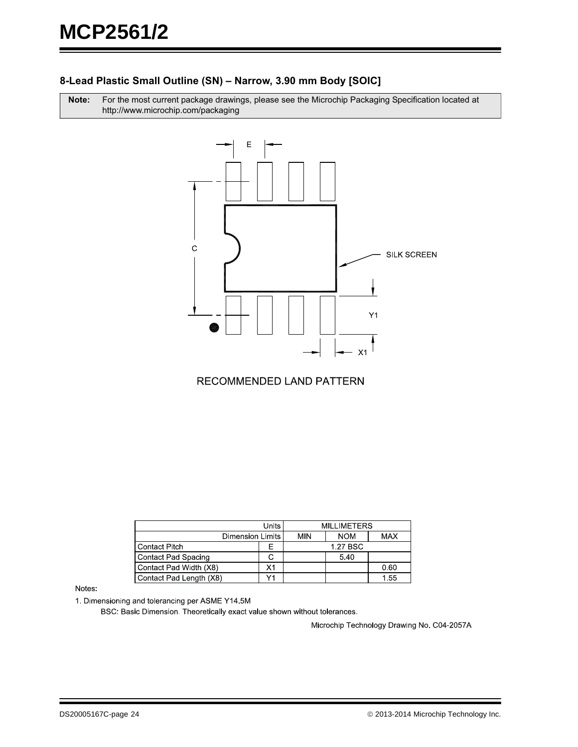#### **8-Lead Plastic Small Outline (SN) – Narrow, 3.90 mm Body [SOIC]**

Note: r the most current package drawings, please see the Microchip Packaging Specification located at http://www.microchip.com/packaging



#### RECOMMENDED LAND PATTERN

|                         | <b>Units</b> | <b>MILLIMETERS</b> |            |            |
|-------------------------|--------------|--------------------|------------|------------|
| Dimension Limits        |              | MIN                | <b>NOM</b> | <b>MAX</b> |
| <b>Contact Pitch</b>    | ⊢            |                    | 1.27 BSC   |            |
| Contact Pad Spacing     |              |                    | 5.40       |            |
| Contact Pad Width (X8)  | Χ1           |                    |            | 0.60       |
| Contact Pad Length (X8) |              |                    |            | 1.55       |

Notes:

1. Dimensioning and tolerancing per ASME Y14.5M

BSC: Basic Dimension. Theoretically exact value shown without tolerances.

Microchip Technology Drawing No. C04-2057A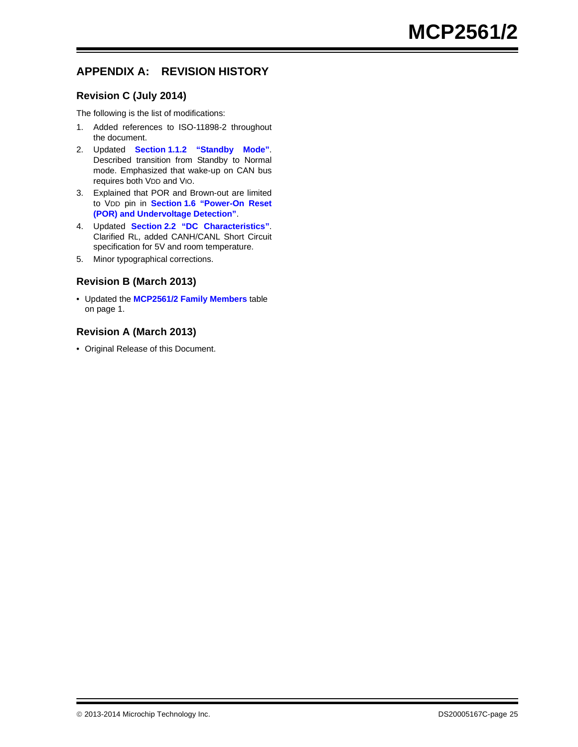#### **APPENDIX A: REVISION HISTORY**

#### **Revision C (July 2014)**

The following is the list of modifications:

- 1. Added references to ISO-11898-2 throughout the document.
- 2. Updated **Section [1.1.2 "Standby Mode"](#page-2-1)**. Described transition from Standby to Normal mode. Emphasized that wake-up on CAN bus requires both VDD and VIO.
- 3. Explained that POR and Brown-out are limited to VDD pin in **Section [1.6 "Power-On Reset](#page-3-1)  [\(POR\) and Undervoltage Detection"](#page-3-1)**.
- 4. Updated **Section [2.2 "DC Characteristics"](#page-8-3)**. Clarified RL, added CANH/CANL Short Circuit specification for 5V and room temperature.
- 5. Minor typographical corrections.

#### **Revision B (March 2013)**

• Updated the **[MCP2561/2 Family Members](#page-0-0)** table on page 1.

#### **Revision A (March 2013)**

• Original Release of this Document.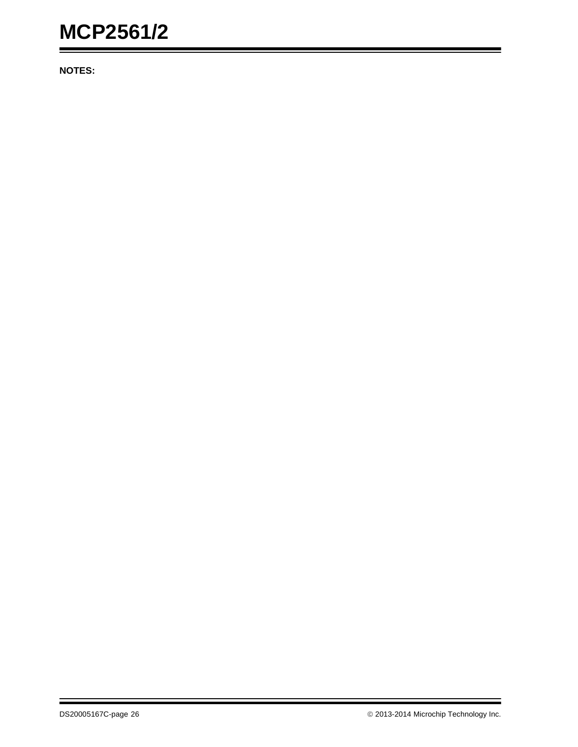**NOTES:**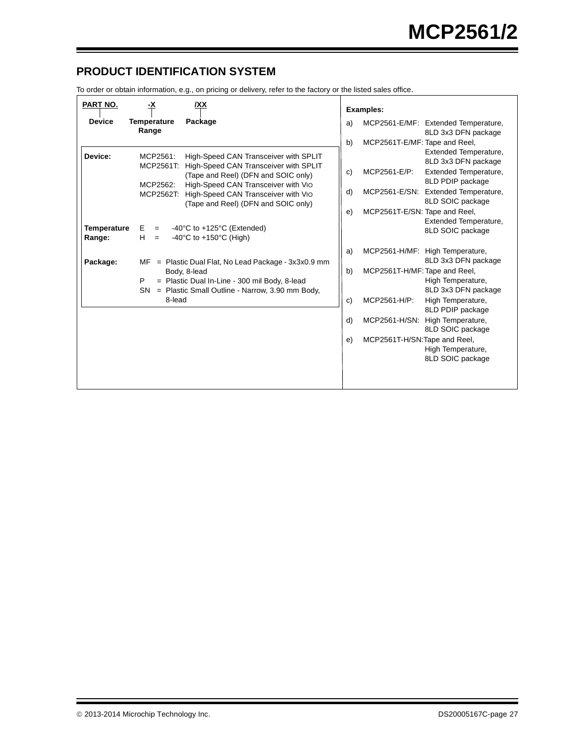#### <span id="page-26-0"></span>**PRODUCT IDENTIFICATION SYSTEM**

To order or obtain information, e.g., on pricing or delivery, refer to the factory or the listed sales office.

| <b>PART NO.</b>              | <u>-X</u>                                                                                                                   | /XX                                                                                                                                                                                                                                        |                               | <b>Examples:</b>                                                               |                                                                                                                                                                               |  |
|------------------------------|-----------------------------------------------------------------------------------------------------------------------------|--------------------------------------------------------------------------------------------------------------------------------------------------------------------------------------------------------------------------------------------|-------------------------------|--------------------------------------------------------------------------------|-------------------------------------------------------------------------------------------------------------------------------------------------------------------------------|--|
| <b>Device</b>                | <b>Temperature</b><br>Range                                                                                                 | Package                                                                                                                                                                                                                                    | a)                            |                                                                                | MCP2561-E/MF: Extended Temperature,<br>8LD 3x3 DFN package                                                                                                                    |  |
| Device:                      | MCP2561:<br>MCP2561T:<br>MCP2562:<br>MCP2562T:                                                                              | High-Speed CAN Transceiver with SPLIT<br>High-Speed CAN Transceiver with SPLIT<br>(Tape and Reel) (DFN and SOIC only)<br>High-Speed CAN Transceiver with Vio<br>High-Speed CAN Transceiver with VIO<br>(Tape and Reel) (DFN and SOIC only) | b)<br>c)<br>d)<br>e)          | MCP2561T-E/MF: Tape and Reel,<br>MCP2561-E/P:<br>MCP2561T-E/SN: Tape and Reel, | Extended Temperature,<br>8LD 3x3 DFN package<br>Extended Temperature,<br>8LD PDIP package<br>MCP2561-E/SN: Extended Temperature,<br>8LD SOIC package<br>Extended Temperature, |  |
| <b>Temperature</b><br>Range: | Е<br>$=$<br>H.<br>$=$                                                                                                       | -40 $\degree$ C to +125 $\degree$ C (Extended)<br>-40 $\degree$ C to +150 $\degree$ C (High)                                                                                                                                               |                               |                                                                                | 8LD SOIC package                                                                                                                                                              |  |
| Package:                     | МF                                                                                                                          | $=$ Plastic Dual Flat, No Lead Package - $3x3x0.9$ mm                                                                                                                                                                                      | a)                            |                                                                                | MCP2561-H/MF: High Temperature,<br>8LD 3x3 DFN package                                                                                                                        |  |
|                              | Body, 8-lead<br>= Plastic Dual In-Line - 300 mil Body, 8-lead<br>Р<br>= Plastic Small Outline - Narrow, 3.90 mm Body,<br>SN | b)                                                                                                                                                                                                                                         | MCP2561T-H/MF: Tape and Reel, | High Temperature,<br>8LD 3x3 DFN package                                       |                                                                                                                                                                               |  |
|                              | 8-lead                                                                                                                      |                                                                                                                                                                                                                                            | c)                            | MCP2561-H/P:                                                                   | High Temperature,<br>8LD PDIP package                                                                                                                                         |  |
|                              |                                                                                                                             |                                                                                                                                                                                                                                            | d)                            | MCP2561-H/SN:                                                                  | High Temperature,<br>8LD SOIC package                                                                                                                                         |  |
|                              |                                                                                                                             |                                                                                                                                                                                                                                            | e)                            | MCP2561T-H/SN:Tape and Reel,                                                   | High Temperature,<br>8LD SOIC package                                                                                                                                         |  |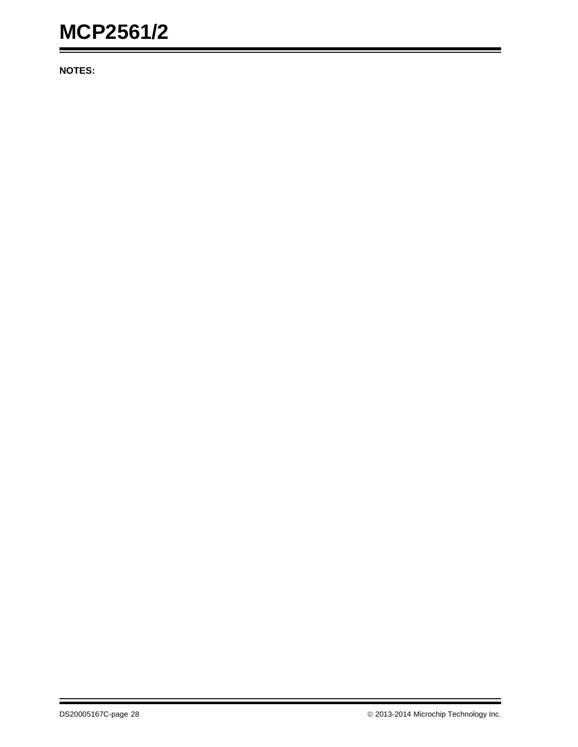**NOTES:**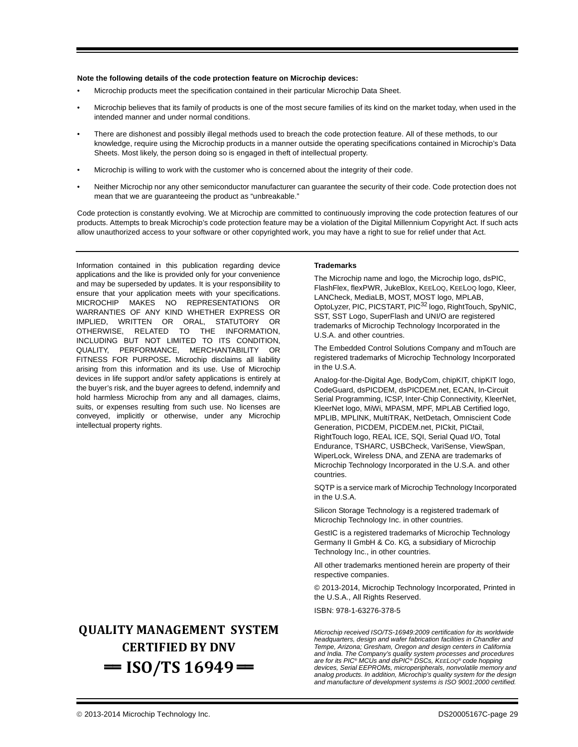#### **Note the following details of the code protection feature on Microchip devices:**

- Microchip products meet the specification contained in their particular Microchip Data Sheet.
- Microchip believes that its family of products is one of the most secure families of its kind on the market today, when used in the intended manner and under normal conditions.
- There are dishonest and possibly illegal methods used to breach the code protection feature. All of these methods, to our knowledge, require using the Microchip products in a manner outside the operating specifications contained in Microchip's Data Sheets. Most likely, the person doing so is engaged in theft of intellectual property.
- Microchip is willing to work with the customer who is concerned about the integrity of their code.
- Neither Microchip nor any other semiconductor manufacturer can guarantee the security of their code. Code protection does not mean that we are guaranteeing the product as "unbreakable."

Code protection is constantly evolving. We at Microchip are committed to continuously improving the code protection features of our products. Attempts to break Microchip's code protection feature may be a violation of the Digital Millennium Copyright Act. If such acts allow unauthorized access to your software or other copyrighted work, you may have a right to sue for relief under that Act.

Information contained in this publication regarding device applications and the like is provided only for your convenience and may be superseded by updates. It is your responsibility to ensure that your application meets with your specifications. MICROCHIP MAKES NO REPRESENTATIONS OR WARRANTIES OF ANY KIND WHETHER EXPRESS OR IMPLIED, WRITTEN OR ORAL, STATUTORY OR OTHERWISE, RELATED TO THE INFORMATION, INCLUDING BUT NOT LIMITED TO ITS CONDITION, QUALITY, PERFORMANCE, MERCHANTABILITY OR FITNESS FOR PURPOSE**.** Microchip disclaims all liability arising from this information and its use. Use of Microchip devices in life support and/or safety applications is entirely at the buyer's risk, and the buyer agrees to defend, indemnify and hold harmless Microchip from any and all damages, claims, suits, or expenses resulting from such use. No licenses are conveyed, implicitly or otherwise, under any Microchip intellectual property rights.

### **QUALITY MANAGEMENT SYSTEM CERTIFIED BY DNV**   $=$  **ISO/TS 16949** $=$

#### **Trademarks**

The Microchip name and logo, the Microchip logo, dsPIC, FlashFlex, flexPWR, JukeBlox, KEELOQ, KEELOQ logo, Kleer, LANCheck, MediaLB, MOST, MOST logo, MPLAB, OptoLyzer, PIC, PICSTART, PIC32 logo, RightTouch, SpyNIC, SST, SST Logo, SuperFlash and UNI/O are registered trademarks of Microchip Technology Incorporated in the U.S.A. and other countries.

The Embedded Control Solutions Company and mTouch are registered trademarks of Microchip Technology Incorporated in the U.S.A.

Analog-for-the-Digital Age, BodyCom, chipKIT, chipKIT logo, CodeGuard, dsPICDEM, dsPICDEM.net, ECAN, In-Circuit Serial Programming, ICSP, Inter-Chip Connectivity, KleerNet, KleerNet logo, MiWi, MPASM, MPF, MPLAB Certified logo, MPLIB, MPLINK, MultiTRAK, NetDetach, Omniscient Code Generation, PICDEM, PICDEM.net, PICkit, PICtail, RightTouch logo, REAL ICE, SQI, Serial Quad I/O, Total Endurance, TSHARC, USBCheck, VariSense, ViewSpan, WiperLock, Wireless DNA, and ZENA are trademarks of Microchip Technology Incorporated in the U.S.A. and other countries.

SQTP is a service mark of Microchip Technology Incorporated in the U.S.A.

Silicon Storage Technology is a registered trademark of Microchip Technology Inc. in other countries.

GestIC is a registered trademarks of Microchip Technology Germany II GmbH & Co. KG, a subsidiary of Microchip Technology Inc., in other countries.

All other trademarks mentioned herein are property of their respective companies.

© 2013-2014, Microchip Technology Incorporated, Printed in the U.S.A., All Rights Reserved.

ISBN: 978-1-63276-378-5

*Microchip received ISO/TS-16949:2009 certification for its worldwide headquarters, design and wafer fabrication facilities in Chandler and Tempe, Arizona; Gresham, Oregon and design centers in California and India. The Company's quality system processes and procedures are for its PIC® MCUs and dsPIC® DSCs, KEELOQ® code hopping devices, Serial EEPROMs, microperipherals, nonvolatile memory and analog products. In addition, Microchip's quality system for the design and manufacture of development systems is ISO 9001:2000 certified.*